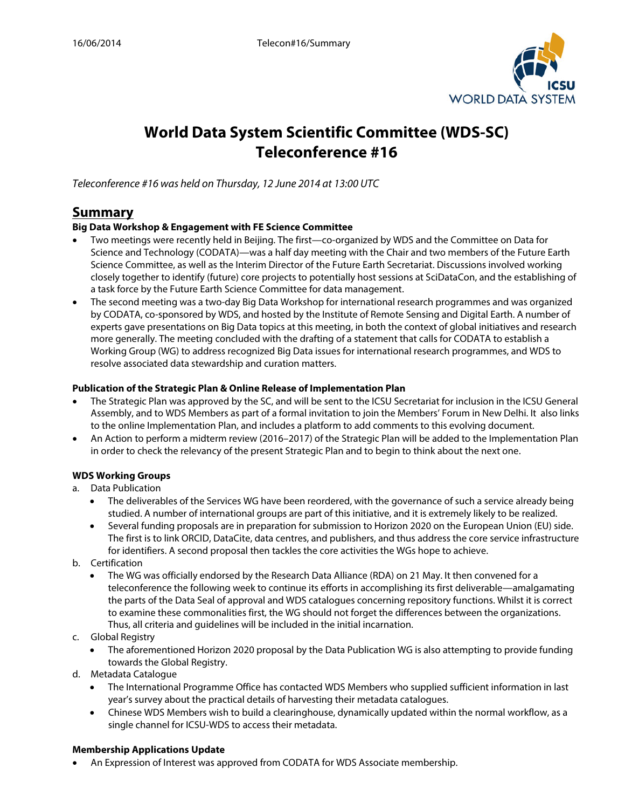

# **World Data System Scientific Committee (WDS-SC) Teleconference #16**

*Teleconference #16 was held on Thursday, 12 June 2014 at 13:00 UTC*

# **Summary**

# **Big Data Workshop & Engagement with FE Science Committee**

- Two meetings were recently held in Beijing. The first—co-organized by WDS and the Committee on Data for Science and Technology (CODATA)—was a half day meeting with the Chair and two members of the Future Earth Science Committee, as well as the Interim Director of the Future Earth Secretariat. Discussions involved working closely together to identify (future) core projects to potentially host sessions at SciDataCon, and the establishing of a task force by the Future Earth Science Committee for data management.
- The second meeting was a two-day Big Data Workshop for international research programmes and was organized by CODATA, co-sponsored by WDS, and hosted by the Institute of Remote Sensing and Digital Earth. A number of experts gave presentations on Big Data topics at this meeting, in both the context of global initiatives and research more generally. The meeting concluded with the drafting of a statement that calls for CODATA to establish a Working Group (WG) to address recognized Big Data issues for international research programmes, and WDS to resolve associated data stewardship and curation matters.

#### **Publication of the Strategic Plan & Online Release of Implementation Plan**

- The Strategic Plan was approved by the SC, and will be sent to the ICSU Secretariat for inclusion in the ICSU General Assembly, and to WDS Members as part of a formal invitation to join the Members' Forum in New Delhi. It also links to the online Implementation Plan, and includes a platform to add comments to this evolving document.
- An Action to perform a midterm review (2016–2017) of the Strategic Plan will be added to the Implementation Plan in order to check the relevancy of the present Strategic Plan and to begin to think about the next one.

# **WDS Working Groups**

# a. Data Publication

- The deliverables of the Services WG have been reordered, with the governance of such a service already being studied. A number of international groups are part of this initiative, and it is extremely likely to be realized.
- Several funding proposals are in preparation for submission to Horizon 2020 on the European Union (EU) side. The first is to link ORCID, DataCite, data centres, and publishers, and thus address the core service infrastructure for identifiers. A second proposal then tackles the core activities the WGs hope to achieve.
- b. Certification
	- The WG was officially endorsed by the Research Data Alliance (RDA) on 21 May. It then convened for a teleconference the following week to continue its efforts in accomplishing its first deliverable—amalgamating the parts of the Data Seal of approval and WDS catalogues concerning repository functions. Whilst it is correct to examine these commonalities first, the WG should not forget the differences between the organizations. Thus, all criteria and guidelines will be included in the initial incarnation.
- c. Global Registry
	- The aforementioned Horizon 2020 proposal by the Data Publication WG is also attempting to provide funding towards the Global Registry.
- d. Metadata Catalogue
	- The International Programme Office has contacted WDS Members who supplied sufficient information in last year's survey about the practical details of harvesting their metadata catalogues.
	- Chinese WDS Members wish to build a clearinghouse, dynamically updated within the normal workflow, as a single channel for ICSU-WDS to access their metadata.

#### **Membership Applications Update**

• An Expression of Interest was approved from CODATA for WDS Associate membership.